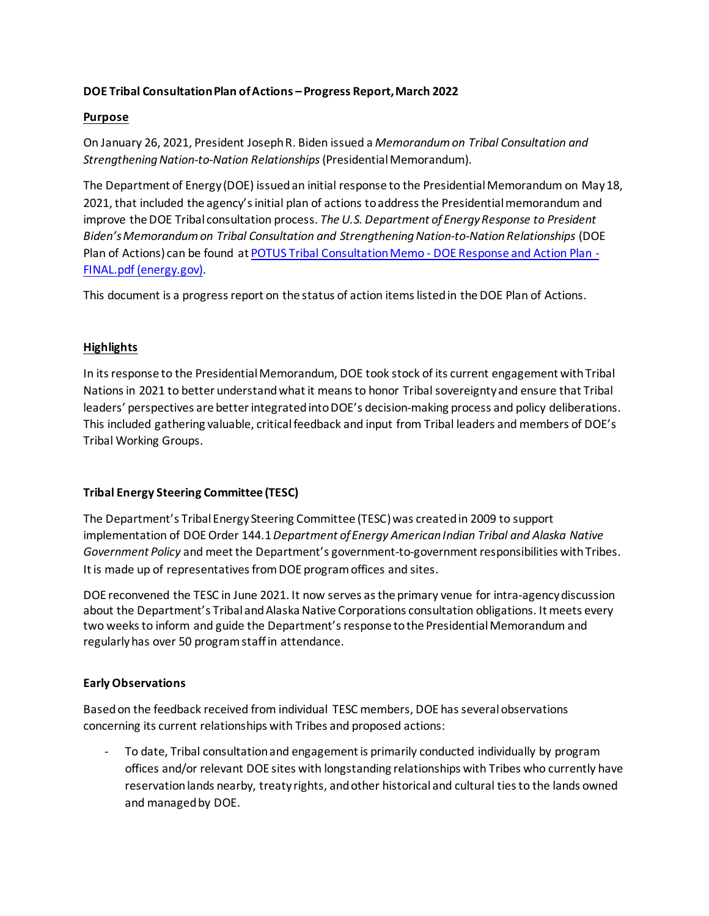## **DOE Tribal Consultation Plan of Actions – Progress Report, March 2022**

### **Purpose**

On January 26, 2021, President Joseph R. Biden issued a *Memorandum on Tribal Consultation and Strengthening Nation-to-Nation Relationships*(Presidential Memorandum).

The Department of Energy (DOE) issued an initial response to the Presidential Memorandum on May 18, 2021, that included the agency's initial plan of actions to address the Presidential memorandum and improve the DOE Tribal consultation process. *The U.S. Department of Energy Response to President Biden's Memorandum on Tribal Consultation and Strengthening Nation-to-Nation Relationships* (DOE Plan of Actions) can be found at POTUS Tribal Consultation Memo - [DOE Response and Action Plan -](https://www.energy.gov/sites/default/files/2021-08/POTUS%20Tribal%20Consultation%20Memo%20-%20DOE%20Response%20and%20Action%20Plan%20-FINAL.pdf) [FINAL.pdf \(energy.gov\).](https://www.energy.gov/sites/default/files/2021-08/POTUS%20Tribal%20Consultation%20Memo%20-%20DOE%20Response%20and%20Action%20Plan%20-FINAL.pdf)

This document is a progress report on the status of action items listed in the DOE Plan of Actions.

# **Highlights**

In its response to the Presidential Memorandum, DOE took stock of its current engagement with Tribal Nations in 2021 to better understandwhat it means to honor Tribal sovereignty and ensure that Tribal leaders' perspectives are better integrated into DOE's decision-making process and policy deliberations. This included gathering valuable, critical feedback and input from Tribal leaders and members of DOE's Tribal Working Groups.

# **Tribal Energy Steering Committee (TESC)**

The Department's Tribal Energy Steering Committee (TESC)was created in 2009 to support implementation of DOE Order 144.1*Department of Energy American Indian Tribal and Alaska Native Government Policy* and meet the Department's government-to-government responsibilities with Tribes. It is made up of representatives from DOE program offices and sites.

DOE reconvened the TESC in June 2021. It now serves as the primary venue for intra-agency discussion about the Department's Tribal and Alaska Native Corporations consultation obligations. It meets every two weeksto inform and guide the Department's response to the Presidential Memorandum and regularly has over 50 program staff in attendance.

#### **Early Observations**

Based on the feedback received from individual TESC members, DOE has several observations concerning its current relationships with Tribes and proposed actions:

To date, Tribal consultation and engagement is primarily conducted individually by program offices and/or relevant DOE sites with longstanding relationships with Tribes who currently have reservation lands nearby, treaty rights, and other historical and cultural tiesto the lands owned and managed by DOE.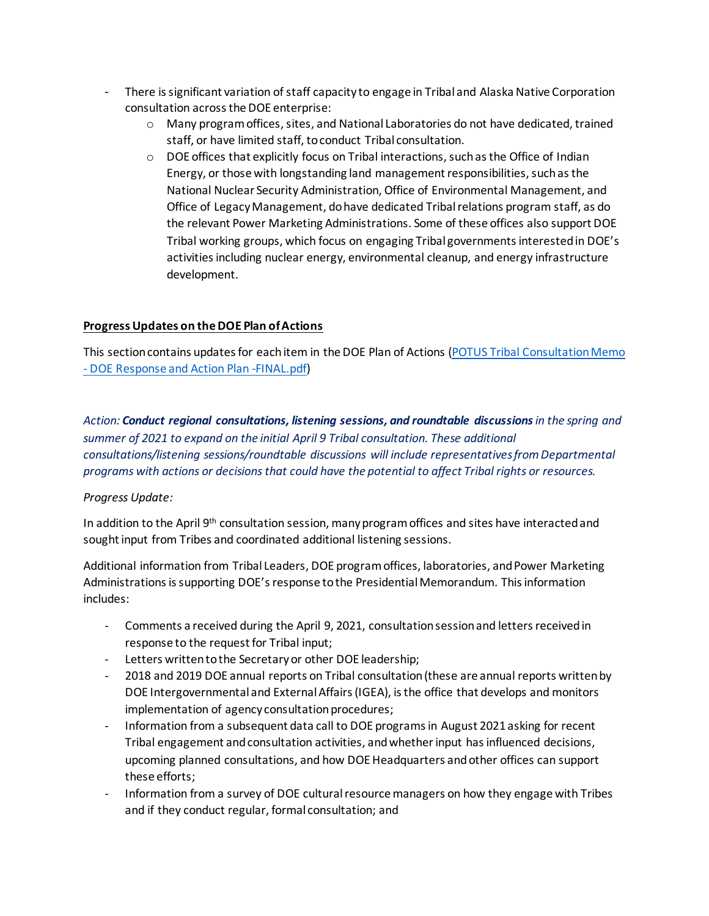- There is significant variation of staff capacity to engage in Tribal and Alaska Native Corporation consultation across the DOE enterprise:
	- $\circ$  Many program offices, sites, and National Laboratories do not have dedicated, trained staff, or have limited staff, to conduct Tribal consultation.
	- $\circ$  DOE offices that explicitly focus on Tribal interactions, such as the Office of Indian Energy, or those with longstanding land management responsibilities, such as the National Nuclear Security Administration, Office of Environmental Management, and Office of Legacy Management, dohave dedicated Tribal relations program staff, as do the relevant Power Marketing Administrations. Some of these offices also support DOE Tribal working groups, which focus on engaging Tribal governments interested in DOE's activities including nuclear energy, environmental cleanup, and energy infrastructure development.

### **Progress Updates on the DOE Plan of Actions**

This section contains updates for each item in the DOE Plan of Actions (POTUS Tribal Consultation Memo - [DOE Response and Action Plan -FINAL.pdf\)](https://cms.doe.gov/sites/default/files/2021-08/POTUS%20Tribal%20Consultation%20Memo%20-%20DOE%20Response%20and%20Action%20Plan%20-FINAL.pdf)

*Action: Conduct regional consultations, listening sessions, and roundtable discussionsin the spring and summer of 2021 to expand on the initial April 9 Tribal consultation. These additional consultations/listening sessions/roundtable discussions will include representatives from Departmental programs with actions or decisions that could have the potential to affect Tribal rights or resources.* 

#### *Progress Update:*

In addition to the April 9<sup>th</sup> consultation session, many program offices and sites have interacted and sought input from Tribes and coordinated additional listening sessions.

Additional information from Tribal Leaders, DOE program offices, laboratories, and Power Marketing Administrations is supporting DOE's response to the Presidential Memorandum. This information includes:

- Comments a received during the April 9, 2021, consultationsessionand letters received in response to the request for Tribal input;
- Letters written to the Secretary or other DOE leadership;
- 2018 and 2019 DOE annual reports on Tribal consultation (these are annual reports written by DOE Intergovernmental and External Affairs (IGEA), is the office that develops and monitors implementation of agency consultation procedures;
- Information from a subsequent data call to DOE programs in August 2021 asking for recent Tribal engagement and consultation activities, and whether input has influenced decisions, upcoming planned consultations, and how DOE Headquarters and other offices can support these efforts;
- Information from a survey of DOE cultural resource managers on how they engage with Tribes and if they conduct regular, formal consultation; and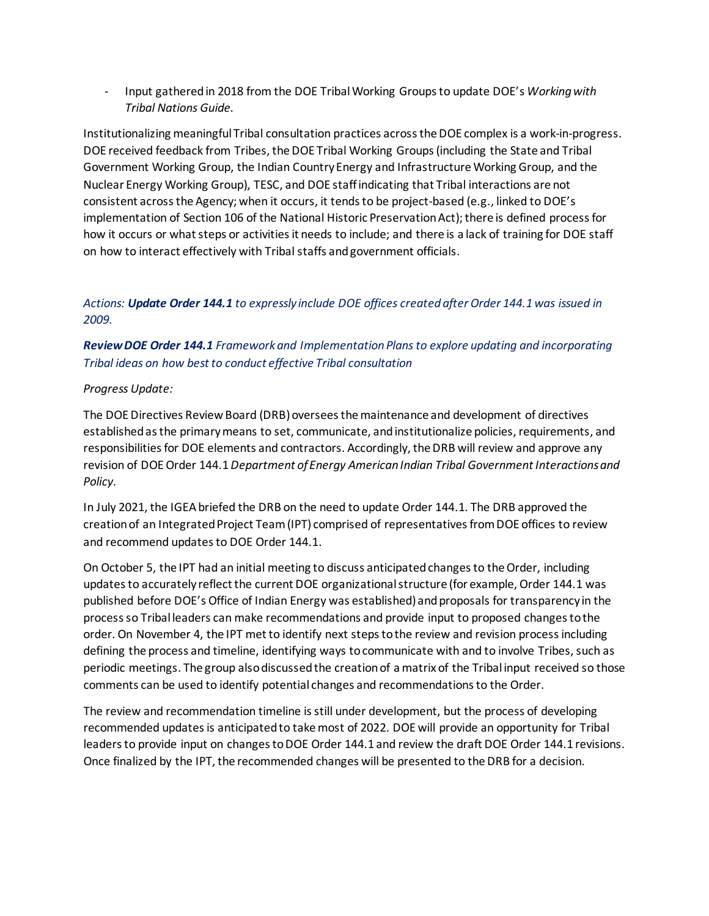- Input gathered in 2018 from the DOE TribalWorking Groups to update DOE's *Working with Tribal Nations Guide.*

Institutionalizing meaningful Tribal consultation practices across the DOE complex is a work-in-progress. DOE received feedback from Tribes, the DOE Tribal Working Groups(including the State and Tribal Government Working Group, the Indian Country Energy and InfrastructureWorking Group, and the Nuclear Energy Working Group), TESC, and DOE staff indicating that Tribal interactions are not consistent across the Agency; when it occurs, it tends to be project-based (e.g., linked to DOE's implementation of Section 106 of the National Historic Preservation Act); there is defined process for how it occurs or what steps or activities it needs to include; and there is a lack of training for DOE staff on how to interact effectively with Tribal staffs and government officials.

# *Actions: Update Order 144.1 to expressly include DOE offices created after Order 144.1was issued in 2009.*

# *Review DOE Order 144.1 Framework and Implementation Plans to explore updating and incorporating Tribal ideas on how best to conduct effective Tribal consultation*

### *Progress Update:*

The DOE Directives Review Board (DRB) oversees the maintenance and development of directives established as the primary means to set, communicate, and institutionalize policies, requirements, and responsibilities for DOE elements and contractors. Accordingly, the DRB will review and approve any revision of DOE Order 144.1 *Department of Energy American Indian Tribal Government Interactions and Policy*.

In July 2021, the IGEAbriefed the DRB on the need to update Order 144.1. The DRB approved the creation of an Integrated Project Team (IPT) comprised of representatives from DOE offices to review and recommend updates to DOE Order 144.1.

On October 5, the IPT had an initial meeting to discuss anticipated changes to the Order, including updates to accurately reflect the current DOE organizational structure (for example, Order 144.1 was published before DOE's Office of Indian Energy was established) and proposals for transparency in the process so Tribal leaders can make recommendations and provide input to proposed changes to the order. On November 4, the IPT met to identify next steps to the review and revision process including defining the process and timeline, identifying ways to communicate with and to involve Tribes, such as periodic meetings. The group also discussed the creation of a matrix of the Tribal input received so those comments can be used to identify potential changes and recommendations to the Order.

The review and recommendation timeline is still under development, but the process of developing recommended updates is anticipated to take most of 2022. DOE will provide an opportunity for Tribal leaders to provide input on changes to DOE Order 144.1 and review the draft DOE Order 144.1 revisions. Once finalized by the IPT, the recommended changes will be presented to the DRB for a decision.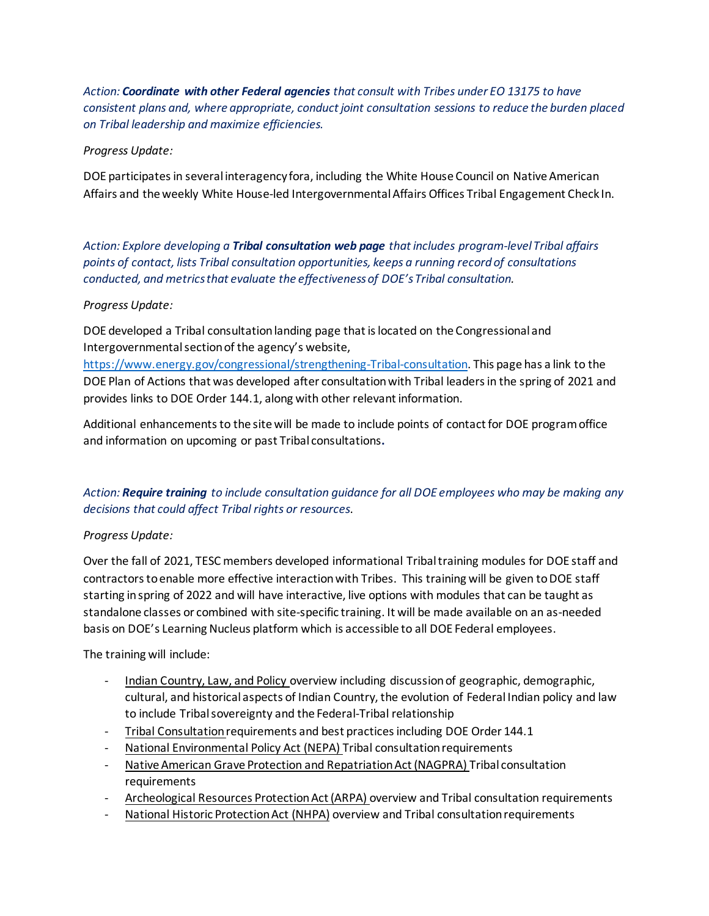*Action: Coordinate with other Federal agencies that consult with Tribes under EO 13175 to have consistent plans and, where appropriate, conduct joint consultation sessions to reduce the burden placed on Tribal leadership and maximize efficiencies.* 

# *Progress Update:*

DOE participates in several interagency fora, including the White House Council on Native American Affairs and the weekly White House-led Intergovernmental Affairs Offices Tribal Engagement Check In.

*Action: Explore developing a Tribal consultation web page that includes program-level Tribal affairs points of contact, lists Tribal consultation opportunities, keeps a running record of consultations conducted, and metrics that evaluate the effectiveness of DOE's Tribal consultation.* 

### *Progress Update:*

DOE developed a Tribal consultation landing page that is located on the Congressional and Intergovernmental section of the agency's website,

[https://www.energy.gov/congressional/strengthening-Tribal-consultation.](https://www.energy.gov/congressional/strengthening-tribal-consultation) This page has a link to the DOE Plan of Actions that was developed after consultation with Tribal leaders in the spring of 2021 and provides links to DOE Order 144.1, along with other relevant information.

Additional enhancements to the site will be made to include points of contact for DOE program office and information on upcoming or past Tribal consultations**.**

# *Action: Require training to include consultation guidance for all DOE employees who may be making any decisions that could affect Tribal rights or resources*.

# *Progress Update:*

Over the fall of 2021, TESC members developed informational Tribal training modules for DOE staff and contractors to enable more effective interaction with Tribes. This training will be given to DOE staff starting in spring of 2022 and will have interactive, live options with modules that can be taught as standalone classes or combined with site-specific training. It will be made available on an as-needed basis on DOE's Learning Nucleus platform which is accessible to all DOE Federal employees.

The training will include:

- Indian Country, Law, and Policy overview including discussion of geographic, demographic, cultural, and historical aspects of Indian Country, the evolution of Federal Indian policy and law to include Tribal sovereignty and the Federal-Tribal relationship
- Tribal Consultation requirements and best practices including DOE Order 144.1
- National Environmental Policy Act (NEPA) Tribal consultation requirements
- Native American Grave Protection and Repatriation Act (NAGPRA) Tribal consultation requirements
- Archeological Resources Protection Act (ARPA) overview and Tribal consultation requirements
- National Historic Protection Act (NHPA) overview and Tribal consultation requirements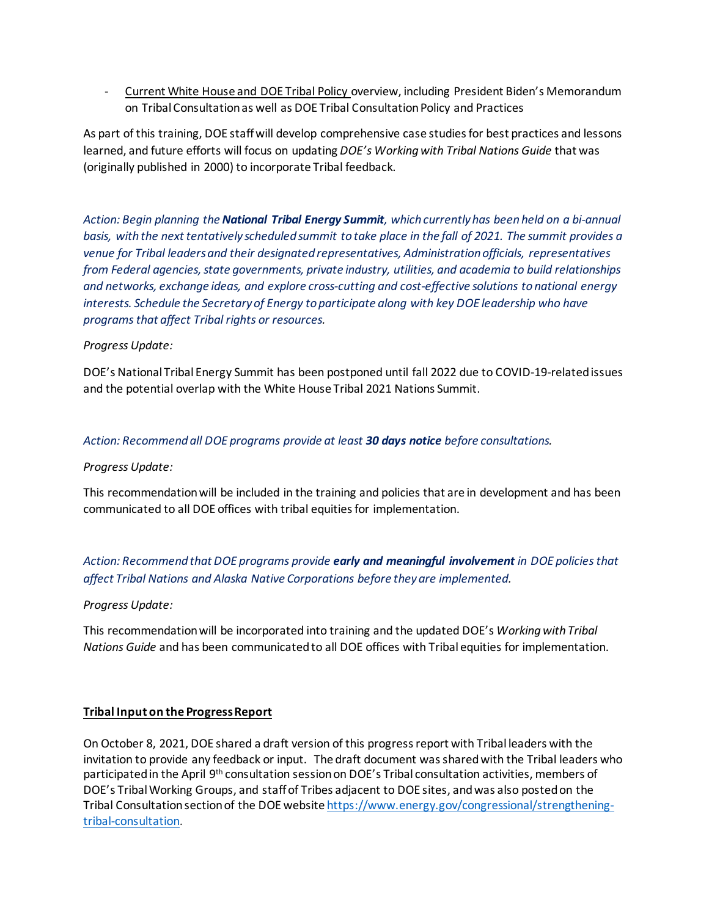- Current White House and DOE Tribal Policy overview, including President Biden's Memorandum on Tribal Consultation as well as DOE Tribal Consultation Policy and Practices

As part of this training, DOE staff will develop comprehensive case studies for best practices and lessons learned, and future efforts will focus on updating *DOE's Working with Tribal Nations Guide* that was (originally published in 2000) to incorporate Tribal feedback.

*Action: Begin planning the National Tribal Energy Summit, which currently has been held on a bi-annual basis, with the next tentatively scheduled summit to take place in the fall of 2021. The summit provides a venue for Tribal leaders and their designated representatives, Administration officials, representatives from Federal agencies, state governments, private industry, utilities, and academia to build relationships and networks, exchange ideas, and explore cross-cutting and cost-effective solutions to national energy interests. Schedule the Secretary of Energy to participate along with key DOE leadership who have programs that affect Tribal rights or resources.* 

### *Progress Update:*

DOE's National Tribal Energy Summit has been postponed until fall 2022 due to COVID-19-related issues and the potential overlap with the White House Tribal 2021 Nations Summit.

### *Action: Recommend all DOE programs provide at least 30 days notice before consultations.*

#### *Progress Update:*

This recommendation will be included in the training and policies that are in development and has been communicated to all DOE offices with tribal equities for implementation.

*Action: Recommend that DOE programs provide early and meaningful involvement in DOE policies that affect Tribal Nations and Alaska Native Corporations before they are implemented.*

#### *Progress Update:*

This recommendation will be incorporated into training and the updated DOE's *Working with Tribal Nations Guide* and has been communicated to all DOE offices with Tribal equities for implementation.

#### **Tribal Input on the Progress Report**

On October 8, 2021, DOE shared a draft version of this progress report with Tribal leaders with the invitation to provide any feedback or input. The draft document was shared with the Tribal leaders who participated in the April 9th consultation session on DOE's Tribal consultation activities, members of DOE's Tribal Working Groups, and staff of Tribes adjacent to DOE sites, and was also posted on the Tribal Consultation section of the DOE websit[e https://www.energy.gov/congressional/strengthening](https://www.energy.gov/congressional/strengthening-tribal-consultation)[tribal-consultation.](https://www.energy.gov/congressional/strengthening-tribal-consultation)